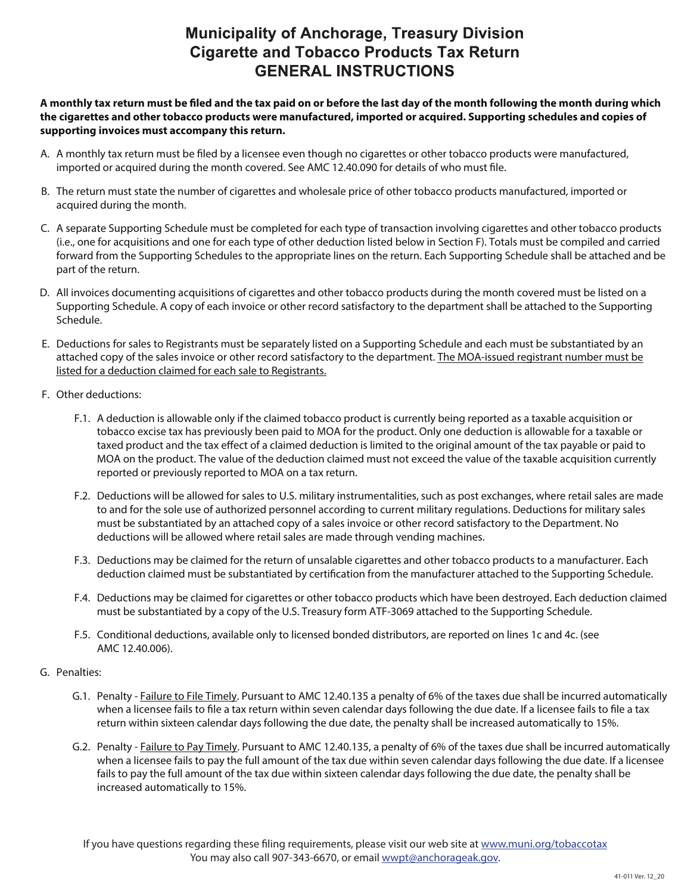## **Municipality of Anchorage, Treasury Division Cigarette and Tobacco Products Tax Return GENERAL INSTRUCTIONS**

**A monthly tax return must be led and the tax paid on or before the last day of the month following the month during which the cigarettes and other tobacco products were manufactured, imported or acquired. Supporting schedules and copies of supporting invoices must accompany this return.** 

- A. A monthly tax return must be filed by a licensee even though no cigarettes or other tobacco products were manufactured, imported or acquired during the month covered. See AMC 12.40.090 for details of who must file.
- B. The return must state the number of cigarettes and wholesale price of other tobacco products manufactured, imported or acquired during the month.
- C. A separate Supporting Schedule must be completed for each type of transaction involving cigarettes and other tobacco products (i.e., one for acquisitions and one for each type of other deduction listed below in Section F). Totals must be compiled and carried forward from the Supporting Schedules to the appropriate lines on the return. Each Supporting Schedule shall be attached and be part of the return.
- D. All invoices documenting acquisitions of cigarettes and other tobacco products during the month covered must be listed on a Supporting Schedule. A copy of each invoice or other record satisfactory to the department shall be attached to the Supporting Schedule.
- E. Deductions for sales to Registrants must be separately listed on a Supporting Schedule and each must be substantiated by an attached copy of the sales invoice or other record satisfactory to the department. The MOA-issued registrant number must be listed for a deduction claimed for each sale to Registrants.
- F. Other deductions:
	- F.1. A deduction is allowable only if the claimed tobacco product is currently being reported as a taxable acquisition or tobacco excise tax has previously been paid to MOA for the product. Only one deduction is allowable for a taxable or taxed product and the tax effect of a claimed deduction is limited to the original amount of the tax payable or paid to MOA on the product. The value of the deduction claimed must not exceed the value of the taxable acquisition currently reported or previously reported to MOA on a tax return.
	- F.2. Deductions will be allowed for sales to U.S. military instrumentalities, such as post exchanges, where retail sales are made to and for the sole use of authorized personnel according to current military regulations. Deductions for military sales must be substantiated by an attached copy of a sales invoice or other record satisfactory to the Department. No deductions will be allowed where retail sales are made through vending machines.
	- F.3. Deductions may be claimed for the return of unsalable cigarettes and other tobacco products to a manufacturer. Each deduction claimed must be substantiated by certification from the manufacturer attached to the Supporting Schedule.
	- F.4. Deductions may be claimed for cigarettes or other tobacco products which have been destroyed. Each deduction claimed must be substantiated by a copy of the U.S. Treasury form ATF-3069 attached to the Supporting Schedule.
	- F.5. Conditional deductions, available only to licensed bonded distributors, are reported on lines 1c and 4c. (see AMC 12.40.006).
- G. Penalties:
	- G.1. Penalty Failure to File Timely. Pursuant to AMC 12.40.135 a penalty of 6% of the taxes due shall be incurred automatically when a licensee fails to file a tax return within seven calendar days following the due date. If a licensee fails to file a tax return within sixteen calendar days following the due date, the penalty shall be increased automatically to 15%.
	- G.2. Penalty Failure to Pay Timely. Pursuant to AMC 12.40.135, a penalty of 6% of the taxes due shall be incurred automatically when a licensee fails to pay the full amount of the tax due within seven calendar days following the due date. If a licensee fails to pay the full amount of the tax due within sixteen calendar days following the due date, the penalty shall be increased automatically to 15%.

If you have questions regarding these filing requirements, please visit our web site at www.muni.org/tobaccotax You may also call 907-343-6670, or email <u>wwpt@anchorageak.gov</u>.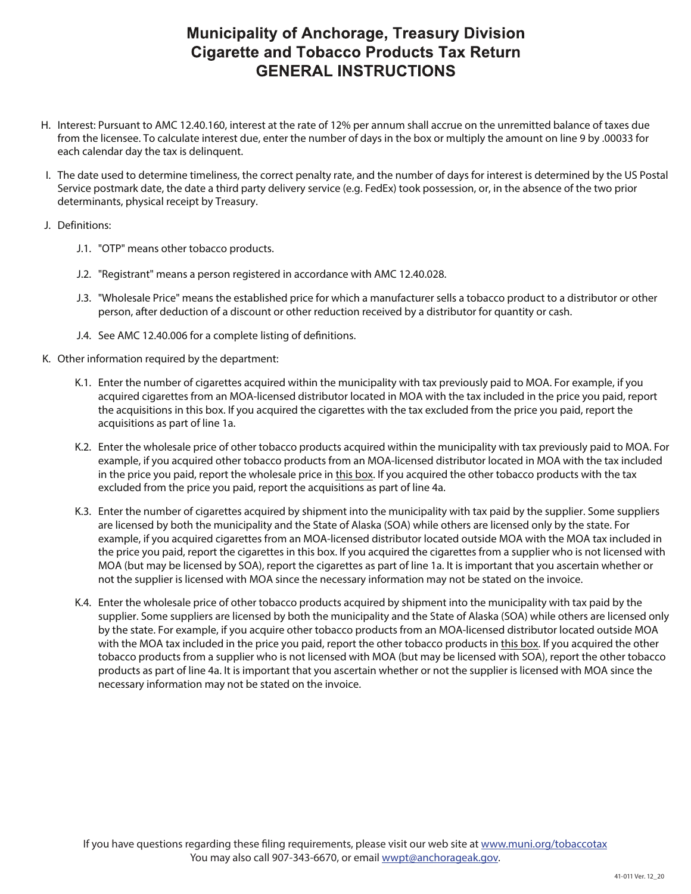## **Municipality of Anchorage, Treasury Division Cigarette and Tobacco Products Tax Return GENERAL INSTRUCTIONS**

- H. Interest: Pursuant to AMC 12.40.160, interest at the rate of 12% per annum shall accrue on the unremitted balance of taxes due from the licensee. To calculate interest due, enter the number of days in the box or multiply the amount on line 9 by .00033 for each calendar day the tax is delinquent.
- I. The date used to determine timeliness, the correct penalty rate, and the number of days for interest is determined by the US Postal Service postmark date, the date a third party delivery service (e.g. FedEx) took possession, or, in the absence of the two prior determinants, physical receipt by Treasury.
- J. Definitions:
	- J.1. "OTP" means other tobacco products.
	- J.2. "Registrant" means a person registered in accordance with AMC 12.40.028.
	- J.3. "Wholesale Price" means the established price for which a manufacturer sells a tobacco product to a distributor or other person, after deduction of a discount or other reduction received by a distributor for quantity or cash.
	- J.4. See AMC 12.40.006 for a complete listing of definitions.
- K. Other information required by the department:
	- K.1. Enter the number of cigarettes acquired within the municipality with tax previously paid to MOA. For example, if you acquired cigarettes from an MOA-licensed distributor located in MOA with the tax included in the price you paid, report the acquisitions in this box. If you acquired the cigarettes with the tax excluded from the price you paid, report the acquisitions as part of line 1a.
	- K.2. Enter the wholesale price of other tobacco products acquired within the municipality with tax previously paid to MOA. For example, if you acquired other tobacco products from an MOA-licensed distributor located in MOA with the tax included in the price you paid, report the wholesale price in this box. If you acquired the other tobacco products with the tax excluded from the price you paid, report the acquisitions as part of line 4a.
	- K.3. Enter the number of cigarettes acquired by shipment into the municipality with tax paid by the supplier. Some suppliers are licensed by both the municipality and the State of Alaska (SOA) while others are licensed only by the state. For example, if you acquired cigarettes from an MOA-licensed distributor located outside MOA with the MOA tax included in the price you paid, report the cigarettes in this box. If you acquired the cigarettes from a supplier who is not licensed with MOA (but may be licensed by SOA), report the cigarettes as part of line 1a. It is important that you ascertain whether or not the supplier is licensed with MOA since the necessary information may not be stated on the invoice.
	- K.4. Enter the wholesale price of other tobacco products acquired by shipment into the municipality with tax paid by the supplier. Some suppliers are licensed by both the municipality and the State of Alaska (SOA) while others are licensed only by the state. For example, if you acquire other tobacco products from an MOA-licensed distributor located outside MOA with the MOA tax included in the price you paid, report the other tobacco products in this box. If you acquired the other tobacco products from a supplier who is not licensed with MOA (but may be licensed with SOA), report the other tobacco products as part of line 4a. It is important that you ascertain whether or not the supplier is licensed with MOA since the necessary information may not be stated on the invoice.